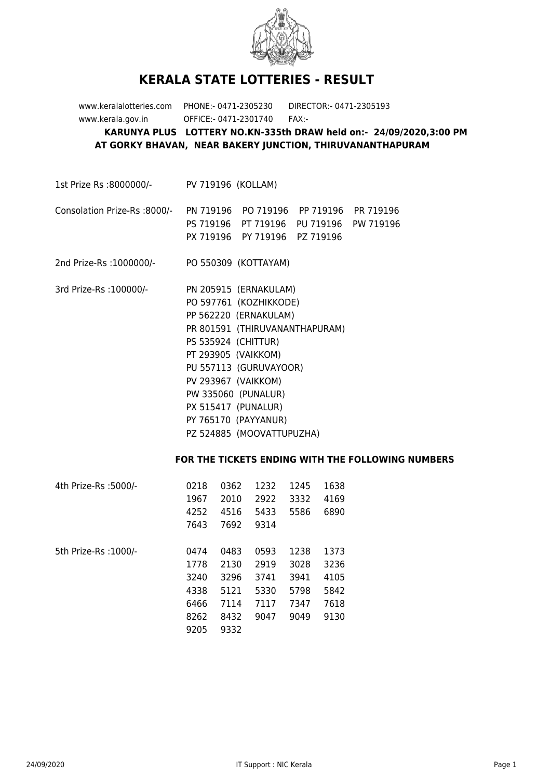

## **KERALA STATE LOTTERIES - RESULT**

www.keralalotteries.com PHONE:- 0471-2305230 DIRECTOR:- 0471-2305193 www.kerala.gov.in OFFICE:- 0471-2301740 FAX:- **KARUNYA PLUS LOTTERY NO.KN-335th DRAW held on:- 24/09/2020,3:00 PM AT GORKY BHAVAN, NEAR BAKERY JUNCTION, THIRUVANANTHAPURAM**

1st Prize Rs :8000000/- PV 719196 (KOLLAM)

## Consolation Prize-Rs :8000/- PN 719196 PO 719196 PP 719196 PR 719196 PS 719196 PT 719196 PU 719196 PW 719196 PX 719196 PY 719196 PZ 719196

2nd Prize-Rs :1000000/- PO 550309 (KOTTAYAM)

3rd Prize-Rs :100000/- PN 205915 (ERNAKULAM) PO 597761 (KOZHIKKODE) PP 562220 (ERNAKULAM) PR 801591 (THIRUVANANTHAPURAM) PS 535924 (CHITTUR) PT 293905 (VAIKKOM) PU 557113 (GURUVAYOOR) PV 293967 (VAIKKOM) PW 335060 (PUNALUR) PX 515417 (PUNALUR) PY 765170 (PAYYANUR) PZ 524885 (MOOVATTUPUZHA)

## **FOR THE TICKETS ENDING WITH THE FOLLOWING NUMBERS**

| 0218 | 0362 | 1232 | 1245 | 1638 |
|------|------|------|------|------|
| 1967 | 2010 | 2922 | 3332 | 4169 |
| 4252 | 4516 | 5433 | 5586 | 6890 |
| 7643 | 7692 | 9314 |      |      |
|      |      |      |      |      |
| 0474 | 0483 | 0593 | 1238 | 1373 |
| 1778 | 2130 | 2919 | 3028 | 3236 |
| 3240 | 3296 | 3741 | 3941 | 4105 |
| 4338 | 5121 | 5330 | 5798 | 5842 |
| 6466 | 7114 | 7117 | 7347 | 7618 |
| 8262 | 8432 | 9047 | 9049 | 9130 |
| 9205 | 9332 |      |      |      |
|      |      |      |      |      |